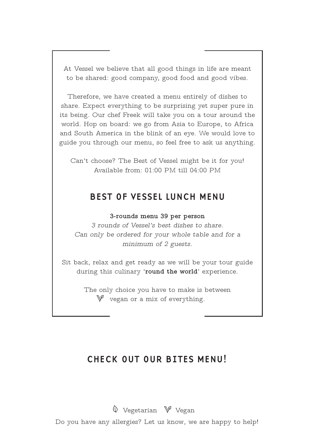At Vessel we believe that all good things in life are meant to be shared: good company, good food and good vibes.

Therefore, we have created a menu entirely of dishes to share. Expect everything to be surprising yet super pure in its being. Our chef Freek will take you on a tour around the world. Hop on board: we go from Asia to Europe, to Africa and South America in the blink of an eye. We would love to guide you through our menu, so feel free to ask us anything.

Can't choose? The Best of Vessel might be it for you! Available from: 01:00 PM till 04:00 PM

## BEST OF VESSEL LUNCH MENU

**3-rounds menu 39 per person** 

*3 rounds of Vessel's best dishes to share. Can only be ordered for your whole table and for a minimum of 2 guests.*

Sit back, relax and get ready as we will be your tour guide during this culinary '**round the world**' experience.

> The only choice you have to make is between  $\mathbb {V}$  vegan or a mix of everything.

# CHECK OUT OUR BITES MENU!

 $\hat{\mathbb{V}}$  Vegetarian  $\hat{\mathbb{V}}$  Vegan

Do you have any allergies? Let us know, we are happy to help!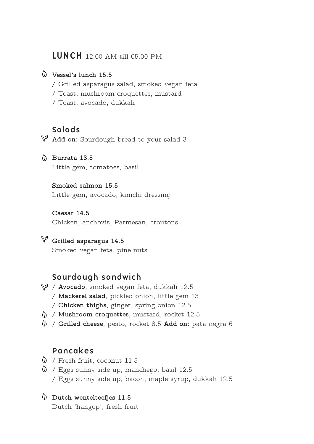## LUNCH 12:00 AM till 05:00 PM

### **Vessel's lunch 15.5**

- / Grilled asparagus salad, smoked vegan feta
- / Toast, mushroom croquettes, mustard
- / Toast, avocado, dukkah

## Salads

**Add on:** Sourdough bread to your salad 3

**Burrata 13.5** Little gem, tomatoes, basil

### **Smoked salmon 15.5**

Little gem, avocado, kimchi dressing

**Caesar 14.5** Chicken, anchovis, Parmesan, croutons

**Grilled asparagus 14.5** Smoked vegan feta, pine nuts

## Sourdough sandwich

- / **Avocado**, smoked vegan feta, dukkah 12.5 / **Mackerel salad**, pickled onion, little gem 13
	- / **Chicken thighs**, ginger, spring onion 12.5
- / **Mushroom croquettes**, mustard, rocket 12.5
- / **Grilled cheese**, pesto, rocket 8.5 **Add on:** pata negra 6

## Pancakes

- $\lozenge$  / Fresh fruit, coconut 11.5
- $\Diamond$  / Eggs sunny side up, manchego, basil 12.5 / Eggs sunny side up, bacon, maple syrup, dukkah 12.5
- **Dutch wentelteefjes 11.5** Dutch 'hangop', fresh fruit